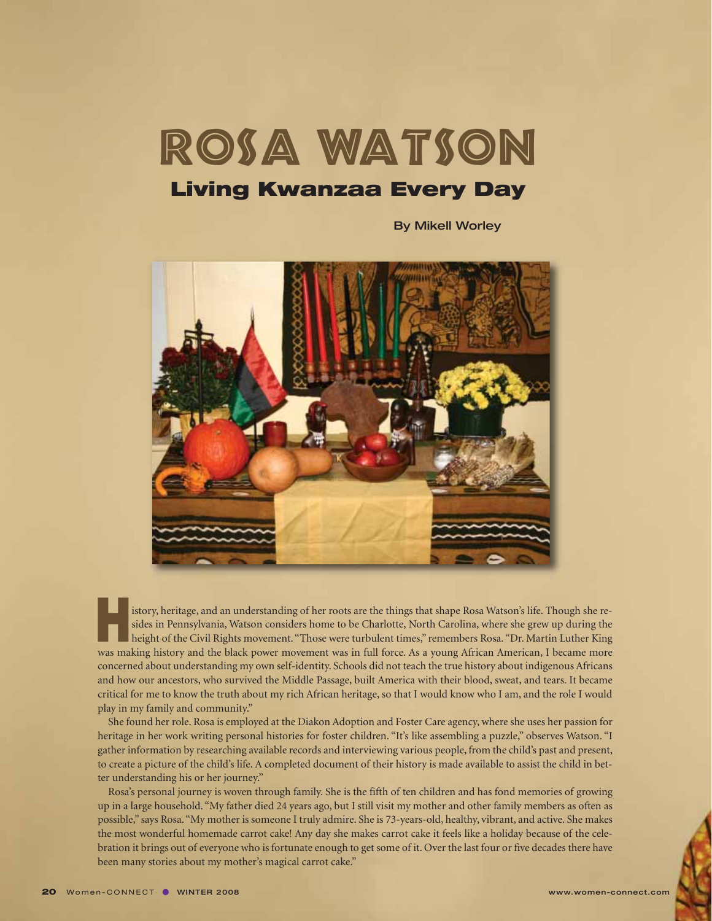## ROSA WATSON **Living Kwanzaa Every Day**

## By Mikell Worley



istory, heritage, and an understanding of her roots are the things that shape Rosa Watson's life. Though she resides in Pennsylvania, Watson considers home to be Charlotte, North Carolina, where she grew up during the heig sides in Pennsylvania, Watson considers home to be Charlotte, North Carolina, where she grew up during the was making history and the black power movement was in full force. As a young African American, I became more concerned about understanding my own self-identity. Schools did not teach the true history about indigenous Africans and how our ancestors, who survived the Middle Passage, built America with their blood, sweat, and tears. It became critical for me to know the truth about my rich African heritage, so that I would know who I am, and the role I would play in my family and community."

She found her role. Rosa is employed at the Diakon Adoption and Foster Care agency, where she uses her passion for heritage in her work writing personal histories for foster children. "It's like assembling a puzzle," observes Watson. "I gather information by researching available records and interviewing various people, from the child's past and present, to create a picture of the child's life. A completed document of their history is made available to assist the child in better understanding his or her journey."

Rosa's personal journey is woven through family. She is the fifth of ten children and has fond memories of growing up in a large household. "My father died 24 years ago, but I still visit my mother and other family members as often as possible," says Rosa. "My mother is someone I truly admire. She is 73-years-old, healthy, vibrant, and active. She makes the most wonderful homemade carrot cake! Any day she makes carrot cake it feels like a holiday because of the celebration it brings out of everyone who is fortunate enough to get some of it. Over the last four or five decades there have been many stories about my mother's magical carrot cake."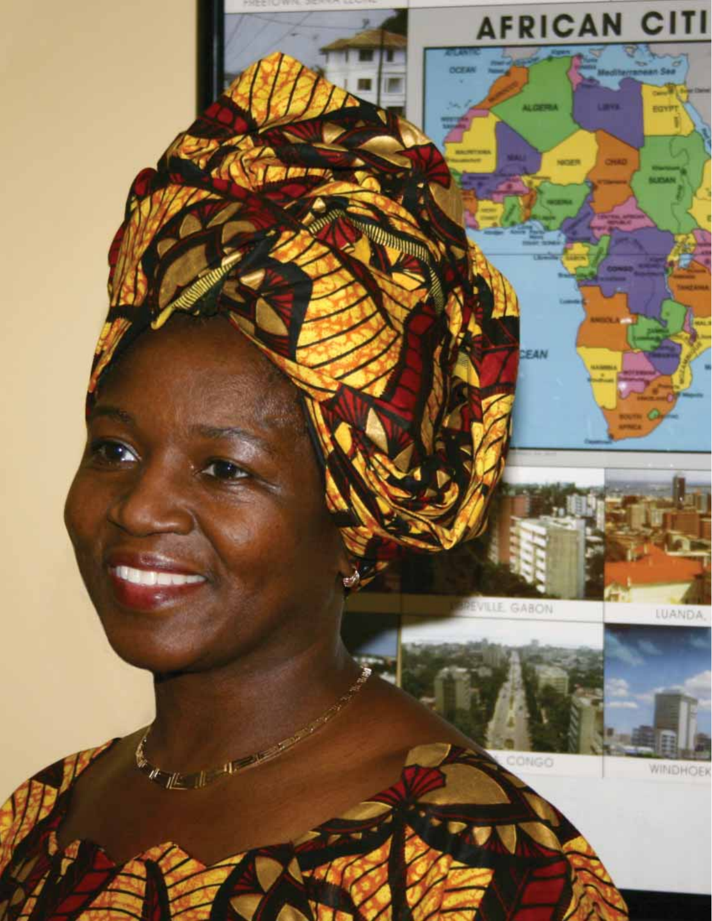